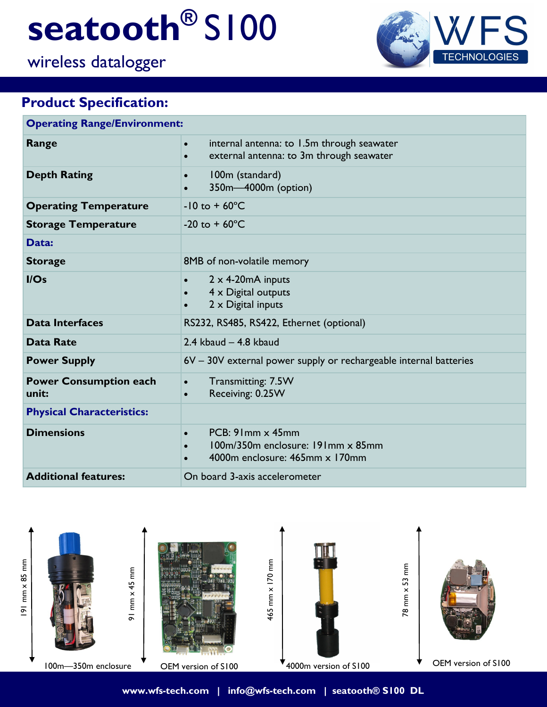# **seatooth®** S100

# wireless datalogger



## **Product Specification:**

| <b>Operating Range/Environment:</b>    |                                                                                                                  |
|----------------------------------------|------------------------------------------------------------------------------------------------------------------|
| Range                                  | internal antenna: to 1.5m through seawater<br>$\bullet$<br>external antenna: to 3m through seawater<br>$\bullet$ |
| <b>Depth Rating</b>                    | 100m (standard)<br>350m-4000m (option)                                                                           |
| <b>Operating Temperature</b>           | $-10$ to $+60^{\circ}$ C                                                                                         |
| <b>Storage Temperature</b>             | $-20$ to $+60^{\circ}$ C                                                                                         |
| Data:                                  |                                                                                                                  |
| <b>Storage</b>                         | 8MB of non-volatile memory                                                                                       |
| I/Os                                   | $2 \times 4$ -20mA inputs<br>$4 \times$ Digital outputs<br>$2 \times$ Digital inputs                             |
| <b>Data Interfaces</b>                 | RS232, RS485, RS422, Ethernet (optional)                                                                         |
| <b>Data Rate</b>                       | $2.4$ kbaud $-4.8$ kbaud                                                                                         |
| <b>Power Supply</b>                    | 6V - 30V external power supply or rechargeable internal batteries                                                |
| <b>Power Consumption each</b><br>unit: | Transmitting: 7.5W<br>$\bullet$<br>Receiving: 0.25W<br>$\bullet$                                                 |
| <b>Physical Characteristics:</b>       |                                                                                                                  |
| <b>Dimensions</b>                      | PCB: 91mm x 45mm<br>$\bullet$<br>100m/350m enclosure: 191mm x 85mm<br>4000m enclosure: 465mm x 170mm             |
| <b>Additional features:</b>            | On board 3-axis accelerometer                                                                                    |